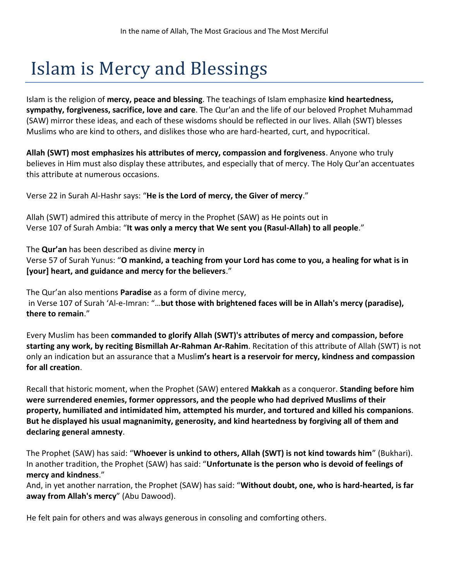## Islam is Mercy and Blessings

Islam is the religion of **mercy, peace and blessing**. The teachings of Islam emphasize **kind heartedness, sympathy, forgiveness, sacrifice, love and care**. The Qur'an and the life of our beloved Prophet Muhammad (SAW) mirror these ideas, and each of these wisdoms should be reflected in our lives. Allah (SWT) blesses Muslims who are kind to others, and dislikes those who are hard-hearted, curt, and hypocritical.

**Allah (SWT) most emphasizes his attributes of mercy, compassion and forgiveness**. Anyone who truly believes in Him must also display these attributes, and especially that of mercy. The Holy Qur'an accentuates this attribute at numerous occasions.

Verse 22 in Surah Al-Hashr says: "**He is the Lord of mercy, the Giver of mercy**."

Allah (SWT) admired this attribute of mercy in the Prophet (SAW) as He points out in Verse 107 of Surah Ambia: "**It was only a mercy that We sent you (Rasul-Allah) to all people**."

The **Qur'an** has been described as divine **mercy** in Verse 57 of Surah Yunus: "**O mankind, a teaching from your Lord has come to you, a healing for what is in [your] heart, and guidance and mercy for the believers**."

The Qur'an also mentions **Paradise** as a form of divine mercy, in Verse 107 of Surah 'Al-e-Imran: "…**but those with brightened faces will be in Allah's mercy (paradise), there to remain**."

Every Muslim has been **commanded to glorify Allah (SWT)'s attributes of mercy and compassion, before starting any work, by reciting Bismillah Ar-Rahman Ar-Rahim**. Recitation of this attribute of Allah (SWT) is not only an indication but an assurance that a Musli**m's heart is a reservoir for mercy, kindness and compassion for all creation**.

Recall that historic moment, when the Prophet (SAW) entered **Makkah** as a conqueror. **Standing before him were surrendered enemies, former oppressors, and the people who had deprived Muslims of their property, humiliated and intimidated him, attempted his murder, and tortured and killed his companions**. **But he displayed his usual magnanimity, generosity, and kind heartedness by forgiving all of them and declaring general amnesty**.

The Prophet (SAW) has said: "**Whoever is unkind to others, Allah (SWT) is not kind towards him**" (Bukhari). In another tradition, the Prophet (SAW) has said: "**Unfortunate is the person who is devoid of feelings of mercy and kindness**."

And, in yet another narration, the Prophet (SAW) has said: "**Without doubt, one, who is hard-hearted, is far away from Allah's mercy**" (Abu Dawood).

He felt pain for others and was always generous in consoling and comforting others.